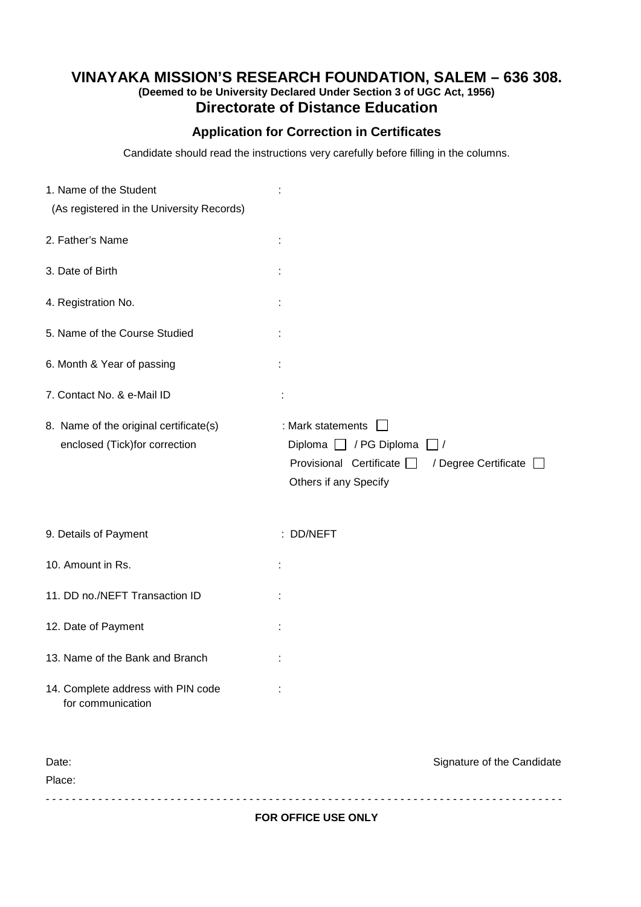## **VINAYAKA MISSION'S RESEARCH FOUNDATION, SALEM – 636 308. (Deemed to be University Declared Under Section 3 of UGC Act, 1956) Directorate of Distance Education**

## **Application for Correction in Certificates**

Candidate should read the instructions very carefully before filling in the columns.

| 1. Name of the Student                                                  |                                                                                                                                                 |
|-------------------------------------------------------------------------|-------------------------------------------------------------------------------------------------------------------------------------------------|
| (As registered in the University Records)                               |                                                                                                                                                 |
| 2. Father's Name                                                        |                                                                                                                                                 |
| 3. Date of Birth                                                        |                                                                                                                                                 |
| 4. Registration No.                                                     |                                                                                                                                                 |
| 5. Name of the Course Studied                                           |                                                                                                                                                 |
| 6. Month & Year of passing                                              |                                                                                                                                                 |
| 7. Contact No. & e-Mail ID                                              |                                                                                                                                                 |
| 8. Name of the original certificate(s)<br>enclosed (Tick)for correction | : Mark statements<br>Diploma $\Box$ / PG Diploma<br>$\frac{1}{2}$<br>Provisional Certificate<br>/ Degree Certificate  <br>Others if any Specify |
| 9. Details of Payment                                                   | : DD/NEFT                                                                                                                                       |
| 10. Amount in Rs.                                                       |                                                                                                                                                 |
| 11. DD no./NEFT Transaction ID                                          |                                                                                                                                                 |
| 12. Date of Payment                                                     |                                                                                                                                                 |
| 13. Name of the Bank and Branch                                         |                                                                                                                                                 |
| 14. Complete address with PIN code<br>for communication                 |                                                                                                                                                 |
| Date:<br>Place:                                                         | Signature of the Candidate                                                                                                                      |

**FOR OFFICE USE ONLY**